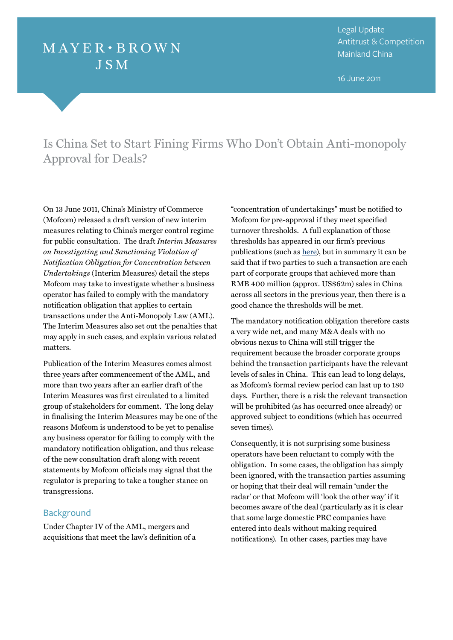# $MAYER \cdot BROWN$ **JSM**

Legal Update Antitrust & Competition Mainland China

16 June 2011

## Is China Set to Start Fining Firms Who Don't Obtain Anti-monopoly Approval for Deals?

On 13 June 2011, China's Ministry of Commerce (Mofcom) released a draft version of new interim measures relating to China's merger control regime for public consultation. The draft *Interim Measures on Investigating and Sanctioning Violation of Notification Obligation for Concentration between Undertakings* (Interim Measures) detail the steps Mofcom may take to investigate whether a business operator has failed to comply with the mandatory notification obligation that applies to certain transactions under the Anti-Monopoly Law (AML). The Interim Measures also set out the penalties that may apply in such cases, and explain various related matters.

Publication of the Interim Measures comes almost three years after commencement of the AML, and more than two years after an earlier draft of the Interim Measures was first circulated to a limited group of stakeholders for comment. The long delay in finalising the Interim Measures may be one of the reasons Mofcom is understood to be yet to penalise any business operator for failing to comply with the mandatory notification obligation, and thus release of the new consultation draft along with recent statements by Mofcom officials may signal that the regulator is preparing to take a tougher stance on transgressions.

## **Background**

Under Chapter IV of the AML, mergers and acquisitions that meet the law's definition of a "concentration of undertakings" must be notified to Mofcom for pre-approval if they meet specified turnover thresholds. A full explanation of those thresholds has appeared in our firm's previous publications (such as [here\)](http://www.mayerbrown.com/public_docs/EP_China_MergerControl.pdf), but in summary it can be said that if two parties to such a transaction are each part of corporate groups that achieved more than RMB 400 million (approx. US\$62m) sales in China across all sectors in the previous year, then there is a good chance the thresholds will be met.

The mandatory notification obligation therefore casts a very wide net, and many M&A deals with no obvious nexus to China will still trigger the requirement because the broader corporate groups behind the transaction participants have the relevant levels of sales in China. This can lead to long delays, as Mofcom's formal review period can last up to 180 days. Further, there is a risk the relevant transaction will be prohibited (as has occurred once already) or approved subject to conditions (which has occurred seven times).

Consequently, it is not surprising some business operators have been reluctant to comply with the obligation. In some cases, the obligation has simply been ignored, with the transaction parties assuming or hoping that their deal will remain 'under the radar' or that Mofcom will 'look the other way' if it becomes aware of the deal (particularly as it is clear that some large domestic PRC companies have entered into deals without making required notifications). In other cases, parties may have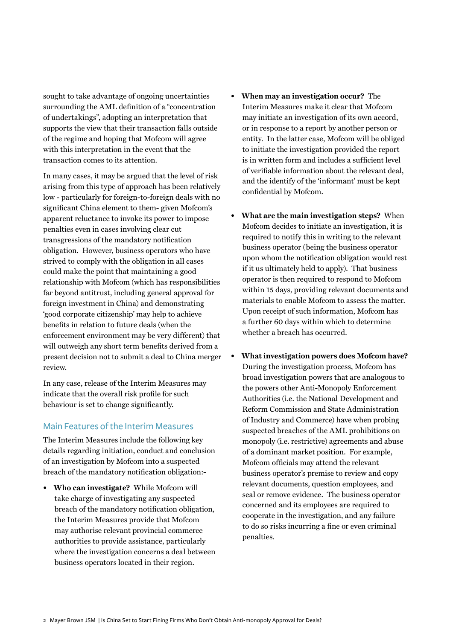sought to take advantage of ongoing uncertainties surrounding the AML definition of a "concentration of undertakings", adopting an interpretation that supports the view that their transaction falls outside of the regime and hoping that Mofcom will agree with this interpretation in the event that the transaction comes to its attention.

In many cases, it may be argued that the level of risk arising from this type of approach has been relatively low - particularly for foreign-to-foreign deals with no significant China element to them- given Mofcom's apparent reluctance to invoke its power to impose penalties even in cases involving clear cut transgressions of the mandatory notification obligation. However, business operators who have strived to comply with the obligation in all cases could make the point that maintaining a good relationship with Mofcom (which has responsibilities far beyond antitrust, including general approval for foreign investment in China) and demonstrating 'good corporate citizenship' may help to achieve benefits in relation to future deals (when the enforcement environment may be very different) that will outweigh any short term benefits derived from a present decision not to submit a deal to China merger review.

In any case, release of the Interim Measures may indicate that the overall risk profile for such behaviour is set to change significantly.

## Main Features of the Interim Measures

The Interim Measures include the following key details regarding initiation, conduct and conclusion of an investigation by Mofcom into a suspected breach of the mandatory notification obligation:-

**• Who can investigate?** While Mofcom will take charge of investigating any suspected breach of the mandatory notification obligation, the Interim Measures provide that Mofcom may authorise relevant provincial commerce authorities to provide assistance, particularly where the investigation concerns a deal between business operators located in their region.

- **• When may an investigation occur?** The Interim Measures make it clear that Mofcom may initiate an investigation of its own accord, or in response to a report by another person or entity. In the latter case, Mofcom will be obliged to initiate the investigation provided the report is in written form and includes a sufficient level of verifiable information about the relevant deal, and the identify of the 'informant' must be kept confidential by Mofcom.
- **• What are the main investigation steps?** When Mofcom decides to initiate an investigation, it is required to notify this in writing to the relevant business operator (being the business operator upon whom the notification obligation would rest if it us ultimately held to apply). That business operator is then required to respond to Mofcom within 15 days, providing relevant documents and materials to enable Mofcom to assess the matter. Upon receipt of such information, Mofcom has a further 60 days within which to determine whether a breach has occurred.
- **• What investigation powers does Mofcom have?** During the investigation process, Mofcom has broad investigation powers that are analogous to the powers other Anti-Monopoly Enforcement Authorities (i.e. the National Development and Reform Commission and State Administration of Industry and Commerce) have when probing suspected breaches of the AML prohibitions on monopoly (i.e. restrictive) agreements and abuse of a dominant market position. For example, Mofcom officials may attend the relevant business operator's premise to review and copy relevant documents, question employees, and seal or remove evidence. The business operator concerned and its employees are required to cooperate in the investigation, and any failure to do so risks incurring a fine or even criminal penalties.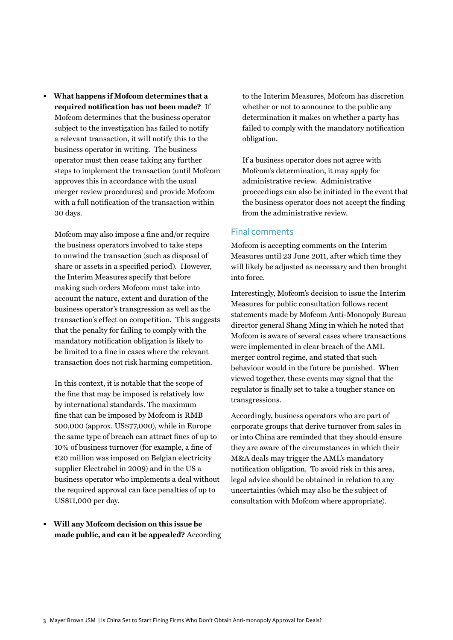**• What happens if Mofcom determines that a required notification has not been made?** If Mofcom determines that the business operator subject to the investigation has failed to notify a relevant transaction, it will notify this to the business operator in writing. The business operator must then cease taking any further steps to implement the transaction (until Mofcom approves this in accordance with the usual merger review procedures) and provide Mofcom with a full notification of the transaction within 30 days.

Mofcom may also impose a fine and/or require the business operators involved to take steps to unwind the transaction (such as disposal of share or assets in a specified period). However, the Interim Measures specify that before making such orders Mofcom must take into account the nature, extent and duration of the business operator's transgression as well as the transaction's effect on competition. This suggests that the penalty for failing to comply with the mandatory notification obligation is likely to be limited to a fine in cases where the relevant transaction does not risk harming competition.

In this context, it is notable that the scope of the fine that may be imposed is relatively low by international standards. The maximum fine that can be imposed by Mofcom is RMB 500,000 (approx. US\$77,000), while in Europe the same type of breach can attract fines of up to 10% of business turnover (for example, a fine of  $\epsilon$ 20 million was imposed on Belgian electricity supplier Electrabel in 2009) and in the US a business operator who implements a deal without the required approval can face penalties of up to US\$11,000 per day.

**• Will any Mofcom decision on this issue be made public, and can it be appealed?** According to the Interim Measures, Mofcom has discretion whether or not to announce to the public any determination it makes on whether a party has failed to comply with the mandatory notification obligation.

If a business operator does not agree with Mofcom's determination, it may apply for administrative review. Administrative proceedings can also be initiated in the event that the business operator does not accept the finding from the administrative review.

#### Final comments

Mofcom is accepting comments on the Interim Measures until 23 June 2011, after which time they will likely be adjusted as necessary and then brought into force.

Interestingly, Mofcom's decision to issue the Interim Measures for public consultation follows recent statements made by Mofcom Anti-Monopoly Bureau director general Shang Ming in which he noted that Mofcom is aware of several cases where transactions were implemented in clear breach of the AML merger control regime, and stated that such behaviour would in the future be punished. When viewed together, these events may signal that the regulator is finally set to take a tougher stance on transgressions.

Accordingly, business operators who are part of corporate groups that derive turnover from sales in or into China are reminded that they should ensure they are aware of the circumstances in which their M&A deals may trigger the AML's mandatory notification obligation. To avoid risk in this area, legal advice should be obtained in relation to any uncertainties (which may also be the subject of consultation with Mofcom where appropriate).